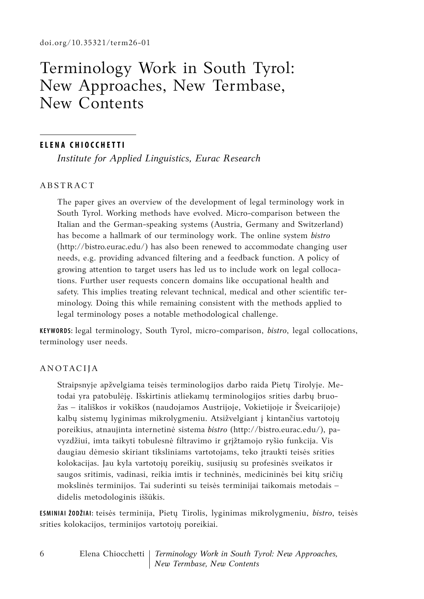# Terminology Work in South Tyrol: New Approaches, New Termbase, New Contents

#### **E le na Chio cc h etti**

*Institute for Applied Linguistics, Eurac Research*

## **ABSTRACT**

The paper gives an overview of the development of legal terminology work in South Tyrol. Working methods have evolved. Micro-comparison between the Italian and the German-speaking systems (Austria, Germany and Switzerland) has become a hallmark of our terminology work. The online system *bistro* (http://bistro.eurac.edu/) has also been renewed to accommodate changing user needs, e.g. providing advanced filtering and a feedback function. A policy of growing attention to target users has led us to include work on legal collocations. Further user requests concern domains like occupational health and safety. This implies treating relevant technical, medical and other scientific terminology. Doing this while remaining consistent with the methods applied to legal terminology poses a notable methodological challenge.

**Keywords:** legal terminology, South Tyrol, micro-comparison, *bistro*, legal collocations, terminology user needs.

### Anotacija

Straipsnyje apžvelgiama teisės terminologijos darbo raida Pietų Tirolyje. Metodai yra patobulėję. Išskirtinis atliekamų terminologijos srities darbų bruožas – itališkos ir vokiškos (naudojamos Austrijoje, Vokietijoje ir Šveicarijoje) kalbų sistemų lyginimas mikrolygmeniu. Atsižvelgiant į kintančius vartotojų poreikius, atnaujinta internetinė sistema *bistro* (http://bistro.eurac.edu/), pavyzdžiui, imta taikyti tobulesnė filtravimo ir grįžtamojo ryšio funkcija. Vis daugiau dėmesio skiriant tiksliniams vartotojams, teko įtraukti teisės srities kolokacijas. Jau kyla vartotojų poreikių, susijusių su profesinės sveikatos ir saugos sritimis, vadinasi, reikia imtis ir techninės, medicininės bei kitų sričių mokslinės terminijos. Tai suderinti su teisės terminijai taikomais metodais – didelis metodologinis iššūkis.

**Esminiai žodžiai:** teisės terminija, Pietų Tirolis, lyginimas mikrolygmeniu, *bistro*, teisės srities kolokacijos, terminijos vartotojų poreikiai.

6

Elena Chiocchetti *Terminology Work in South Tyrol: New Approaches, New Termbase, New Contents*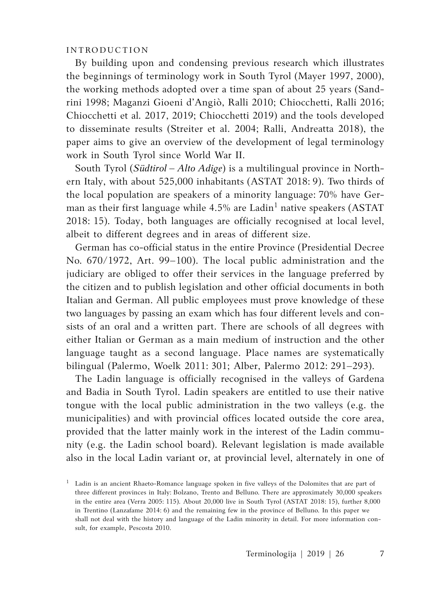## INTRODUCTION

By building upon and condensing previous research which illustrates the beginnings of terminology work in South Tyrol (Mayer 1997, 2000), the working methods adopted over a time span of about 25 years (Sandrini 1998; Maganzi Gioeni d'Angiò, Ralli 2010; Chiocchetti, Ralli 2016; Chiocchetti et al*.* 2017, 2019; Chiocchetti 2019) and the tools developed to disseminate results (Streiter et al. 2004; Ralli, Andreatta 2018), the paper aims to give an overview of the development of legal terminology work in South Tyrol since World War II.

South Tyrol (*Südtirol – Alto Adige*) is a multilingual province in Northern Italy, with about 525,000 inhabitants (ASTAT 2018: 9). Two thirds of the local population are speakers of a minority language: 70% have German as their first language while  $4.5\%$  are Ladin<sup>1</sup> native speakers (ASTAT 2018: 15). Today, both languages are officially recognised at local level, albeit to different degrees and in areas of different size.

German has co-official status in the entire Province (Presidential Decree No. 670/1972, Art. 99–100). The local public administration and the judiciary are obliged to offer their services in the language preferred by the citizen and to publish legislation and other official documents in both Italian and German. All public employees must prove knowledge of these two languages by passing an exam which has four different levels and consists of an oral and a written part. There are schools of all degrees with either Italian or German as a main medium of instruction and the other language taught as a second language. Place names are systematically bilingual (Palermo, Woelk 2011: 301; Alber, Palermo 2012: 291–293).

The Ladin language is officially recognised in the valleys of Gardena and Badia in South Tyrol. Ladin speakers are entitled to use their native tongue with the local public administration in the two valleys (e.g. the municipalities) and with provincial offices located outside the core area, provided that the latter mainly work in the interest of the Ladin community (e.g. the Ladin school board). Relevant legislation is made available also in the local Ladin variant or, at provincial level, alternately in one of

<sup>&</sup>lt;sup>1</sup> Ladin is an ancient Rhaeto-Romance language spoken in five valleys of the Dolomites that are part of three different provinces in Italy: Bolzano, Trento and Belluno. There are approximately 30,000 speakers in the entire area (Verra 2005: 115). About 20,000 live in South Tyrol (ASTAT 2018: 15), further 8,000 in Trentino (Lanzafame 2014: 6) and the remaining few in the province of Belluno. In this paper we shall not deal with the history and language of the Ladin minority in detail. For more information consult, for example, Pescosta 2010.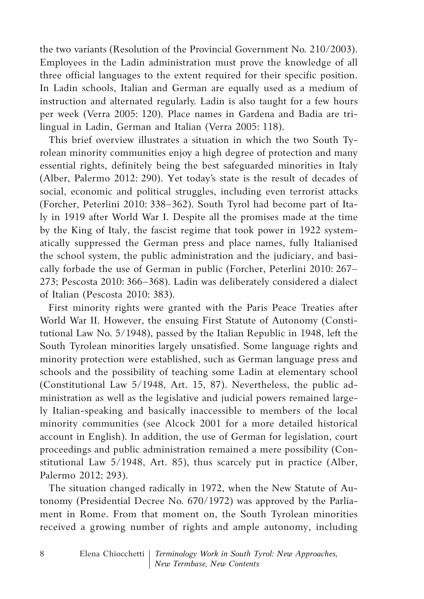the two variants (Resolution of the Provincial Government No. 210/2003). Employees in the Ladin administration must prove the knowledge of all three official languages to the extent required for their specific position. In Ladin schools, Italian and German are equally used as a medium of instruction and alternated regularly. Ladin is also taught for a few hours per week (Verra 2005: 120). Place names in Gardena and Badia are trilingual in Ladin, German and Italian (Verra 2005: 118).

This brief overview illustrates a situation in which the two South Tyrolean minority communities enjoy a high degree of protection and many essential rights, definitely being the best safeguarded minorities in Italy (Alber, Palermo 2012: 290). Yet today's state is the result of decades of social, economic and political struggles, including even terrorist attacks (Forcher, Peterlini 2010: 338–362). South Tyrol had become part of Italy in 1919 after World War I. Despite all the promises made at the time by the King of Italy, the fascist regime that took power in 1922 systematically suppressed the German press and place names, fully Italianised the school system, the public administration and the judiciary, and basically forbade the use of German in public (Forcher, Peterlini 2010: 267– 273; Pescosta 2010: 366–368). Ladin was deliberately considered a dialect of Italian (Pescosta 2010: 383).

First minority rights were granted with the Paris Peace Treaties after World War II. However, the ensuing First Statute of Autonomy (Constitutional Law No. 5/1948), passed by the Italian Republic in 1948, left the South Tyrolean minorities largely unsatisfied. Some language rights and minority protection were established, such as German language press and schools and the possibility of teaching some Ladin at elementary school (Constitutional Law 5/1948, Art. 15, 87). Nevertheless, the public administration as well as the legislative and judicial powers remained largely Italian-speaking and basically inaccessible to members of the local minority communities (see Alcock 2001 for a more detailed historical account in English). In addition, the use of German for legislation, court proceedings and public administration remained a mere possibility (Constitutional Law 5/1948, Art. 85), thus scarcely put in practice (Alber, Palermo 2012: 293).

The situation changed radically in 1972, when the New Statute of Autonomy (Presidential Decree No. 670/1972) was approved by the Parliament in Rome. From that moment on, the South Tyrolean minorities received a growing number of rights and ample autonomy, including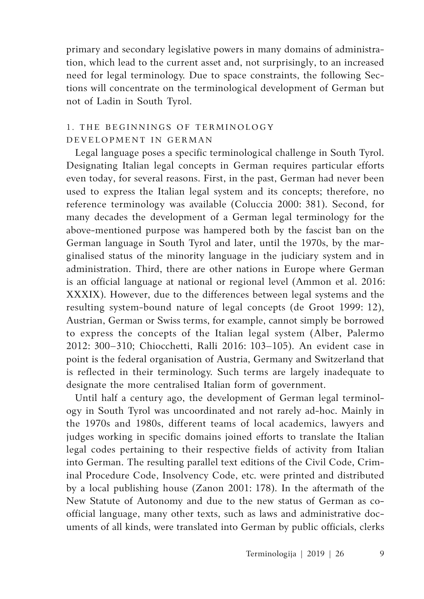primary and secondary legislative powers in many domains of administration, which lead to the current asset and, not surprisingly, to an increased need for legal terminology. Due to space constraints, the following Sections will concentrate on the terminological development of German but not of Ladin in South Tyrol.

# 1. THE BEGINNINGS OF TERMINOLOGY DEVELOPMENT IN GERMAN

Legal language poses a specific terminological challenge in South Tyrol. Designating Italian legal concepts in German requires particular efforts even today, for several reasons. First, in the past, German had never been used to express the Italian legal system and its concepts; therefore, no reference terminology was available (Coluccia 2000: 381). Second, for many decades the development of a German legal terminology for the above-mentioned purpose was hampered both by the fascist ban on the German language in South Tyrol and later, until the 1970s, by the marginalised status of the minority language in the judiciary system and in administration. Third, there are other nations in Europe where German is an official language at national or regional level (Ammon et al. 2016: XXXIX). However, due to the differences between legal systems and the resulting system-bound nature of legal concepts (de Groot 1999: 12), Austrian, German or Swiss terms, for example, cannot simply be borrowed to express the concepts of the Italian legal system (Alber, Palermo 2012: 300–310; Chiocchetti, Ralli 2016: 103–105). An evident case in point is the federal organisation of Austria, Germany and Switzerland that is reflected in their terminology. Such terms are largely inadequate to designate the more centralised Italian form of government.

Until half a century ago, the development of German legal terminology in South Tyrol was uncoordinated and not rarely ad-hoc. Mainly in the 1970s and 1980s, different teams of local academics, lawyers and judges working in specific domains joined efforts to translate the Italian legal codes pertaining to their respective fields of activity from Italian into German. The resulting parallel text editions of the Civil Code, Criminal Procedure Code, Insolvency Code, etc. were printed and distributed by a local publishing house (Zanon 2001: 178). In the aftermath of the New Statute of Autonomy and due to the new status of German as coofficial language, many other texts, such as laws and administrative documents of all kinds, were translated into German by public officials, clerks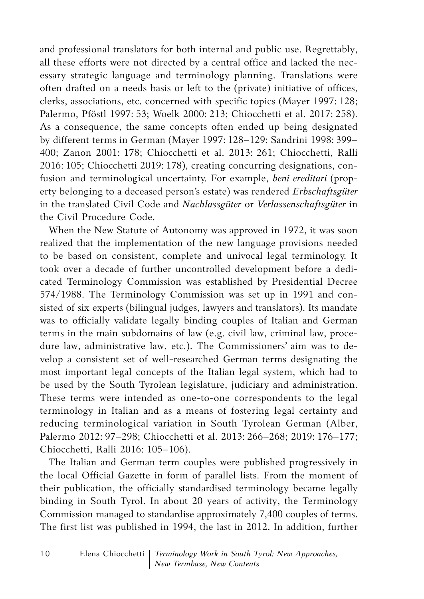and professional translators for both internal and public use. Regrettably, all these efforts were not directed by a central office and lacked the necessary strategic language and terminology planning. Translations were often drafted on a needs basis or left to the (private) initiative of offices, clerks, associations, etc. concerned with specific topics (Mayer 1997: 128; Palermo, Pföstl 1997: 53; Woelk 2000: 213; Chiocchetti et al. 2017: 258). As a consequence, the same concepts often ended up being designated by different terms in German (Mayer 1997: 128–129; Sandrini 1998: 399– 400; Zanon 2001: 178; Chiocchetti et al. 2013: 261; Chiocchetti, Ralli 2016: 105; Chiocchetti 2019: 178), creating concurring designations, confusion and terminological uncertainty. For example, *beni ereditari* (property belonging to a deceased person's estate) was rendered *Erbschaftsgüter*  in the translated Civil Code and *Nachlassgüter* or *Verlassenschaftsgüter* in the Civil Procedure Code.

When the New Statute of Autonomy was approved in 1972, it was soon realized that the implementation of the new language provisions needed to be based on consistent, complete and univocal legal terminology. It took over a decade of further uncontrolled development before a dedicated Terminology Commission was established by Presidential Decree 574/1988. The Terminology Commission was set up in 1991 and consisted of six experts (bilingual judges, lawyers and translators). Its mandate was to officially validate legally binding couples of Italian and German terms in the main subdomains of law (e.g. civil law, criminal law, procedure law, administrative law, etc.). The Commissioners' aim was to develop a consistent set of well-researched German terms designating the most important legal concepts of the Italian legal system, which had to be used by the South Tyrolean legislature, judiciary and administration. These terms were intended as one-to-one correspondents to the legal terminology in Italian and as a means of fostering legal certainty and reducing terminological variation in South Tyrolean German (Alber, Palermo 2012: 97–298; Chiocchetti et al. 2013: 266–268; 2019: 176–177; Chiocchetti, Ralli 2016: 105–106).

The Italian and German term couples were published progressively in the local Official Gazette in form of parallel lists. From the moment of their publication, the officially standardised terminology became legally binding in South Tyrol. In about 20 years of activity, the Terminology Commission managed to standardise approximately 7,400 couples of terms. The first list was published in 1994, the last in 2012. In addition, further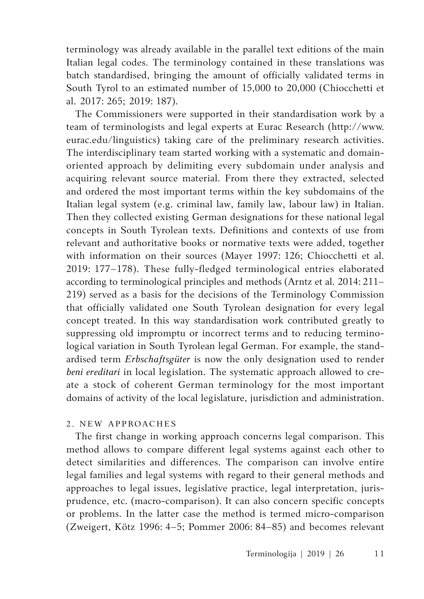terminology was already available in the parallel text editions of the main Italian legal codes. The terminology contained in these translations was batch standardised, bringing the amount of officially validated terms in South Tyrol to an estimated number of 15,000 to 20,000 (Chiocchetti et al. 2017: 265; 2019: 187).

The Commissioners were supported in their standardisation work by a team of terminologists and legal experts at Eurac Research (http://www. eurac.edu/linguistics) taking care of the preliminary research activities. The interdisciplinary team started working with a systematic and domainoriented approach by delimiting every subdomain under analysis and acquiring relevant source material. From there they extracted, selected and ordered the most important terms within the key subdomains of the Italian legal system (e.g. criminal law, family law, labour law) in Italian. Then they collected existing German designations for these national legal concepts in South Tyrolean texts. Definitions and contexts of use from relevant and authoritative books or normative texts were added, together with information on their sources (Mayer 1997: 126; Chiocchetti et al. 2019: 177–178). These fully-fledged terminological entries elaborated according to terminological principles and methods (Arntz et al. 2014: 211– 219) served as a basis for the decisions of the Terminology Commission that officially validated one South Tyrolean designation for every legal concept treated. In this way standardisation work contributed greatly to suppressing old impromptu or incorrect terms and to reducing terminological variation in South Tyrolean legal German. For example, the standardised term *Erbschaftsgüter* is now the only designation used to render *beni ereditari* in local legislation. The systematic approach allowed to create a stock of coherent German terminology for the most important domains of activity of the local legislature, jurisdiction and administration.

## 2. NEW APPROACHES

The first change in working approach concerns legal comparison. This method allows to compare different legal systems against each other to detect similarities and differences. The comparison can involve entire legal families and legal systems with regard to their general methods and approaches to legal issues, legislative practice, legal interpretation, jurisprudence, etc. (macro-comparison). It can also concern specific concepts or problems. In the latter case the method is termed micro-comparison (Zweigert, Kötz 1996: 4–5; Pommer 2006: 84–85) and becomes relevant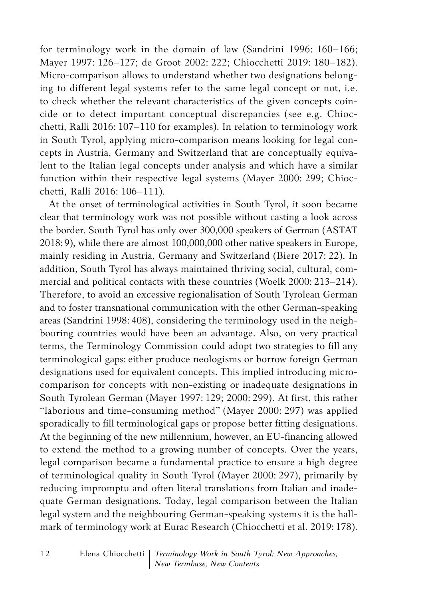for terminology work in the domain of law (Sandrini 1996: 160–166; Mayer 1997: 126–127; de Groot 2002: 222; Chiocchetti 2019: 180–182). Micro-comparison allows to understand whether two designations belonging to different legal systems refer to the same legal concept or not, i.e. to check whether the relevant characteristics of the given concepts coincide or to detect important conceptual discrepancies (see e.g. Chiocchetti, Ralli 2016: 107–110 for examples). In relation to terminology work in South Tyrol, applying micro-comparison means looking for legal concepts in Austria, Germany and Switzerland that are conceptually equivalent to the Italian legal concepts under analysis and which have a similar function within their respective legal systems (Mayer 2000: 299; Chiocchetti, Ralli 2016: 106–111).

At the onset of terminological activities in South Tyrol, it soon became clear that terminology work was not possible without casting a look across the border. South Tyrol has only over 300,000 speakers of German (ASTAT 2018:9), while there are almost 100,000,000 other native speakers in Europe, mainly residing in Austria, Germany and Switzerland (Biere 2017: 22). In addition, South Tyrol has always maintained thriving social, cultural, commercial and political contacts with these countries (Woelk 2000: 213–214). Therefore, to avoid an excessive regionalisation of South Tyrolean German and to foster transnational communication with the other German-speaking areas (Sandrini 1998: 408), considering the terminology used in the neighbouring countries would have been an advantage. Also, on very practical terms, the Terminology Commission could adopt two strategies to fill any terminological gaps: either produce neologisms or borrow foreign German designations used for equivalent concepts. This implied introducing microcomparison for concepts with non-existing or inadequate designations in South Tyrolean German (Mayer 1997: 129; 2000: 299). At first, this rather "laborious and time-consuming method" (Mayer 2000: 297) was applied sporadically to fill terminological gaps or propose better fitting designations. At the beginning of the new millennium, however, an EU-financing allowed to extend the method to a growing number of concepts. Over the years, legal comparison became a fundamental practice to ensure a high degree of terminological quality in South Tyrol (Mayer 2000: 297), primarily by reducing impromptu and often literal translations from Italian and inadequate German designations. Today, legal comparison between the Italian legal system and the neighbouring German-speaking systems it is the hallmark of terminology work at Eurac Research (Chiocchetti et al. 2019: 178).

Elena Chiocchetti *Terminology Work in South Tyrol: New Approaches, New Termbase, New Contents* 1 2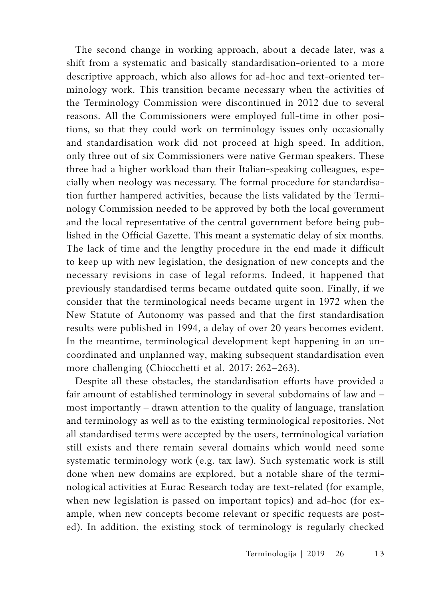The second change in working approach, about a decade later, was a shift from a systematic and basically standardisation-oriented to a more descriptive approach, which also allows for ad-hoc and text-oriented terminology work. This transition became necessary when the activities of the Terminology Commission were discontinued in 2012 due to several reasons. All the Commissioners were employed full-time in other positions, so that they could work on terminology issues only occasionally and standardisation work did not proceed at high speed. In addition, only three out of six Commissioners were native German speakers. These three had a higher workload than their Italian-speaking colleagues, especially when neology was necessary. The formal procedure for standardisation further hampered activities, because the lists validated by the Terminology Commission needed to be approved by both the local government and the local representative of the central government before being published in the Official Gazette. This meant a systematic delay of six months. The lack of time and the lengthy procedure in the end made it difficult to keep up with new legislation, the designation of new concepts and the necessary revisions in case of legal reforms. Indeed, it happened that previously standardised terms became outdated quite soon. Finally, if we consider that the terminological needs became urgent in 1972 when the New Statute of Autonomy was passed and that the first standardisation results were published in 1994, a delay of over 20 years becomes evident. In the meantime, terminological development kept happening in an uncoordinated and unplanned way, making subsequent standardisation even more challenging (Chiocchetti et al*.* 2017: 262–263).

Despite all these obstacles, the standardisation efforts have provided a fair amount of established terminology in several subdomains of law and – most importantly – drawn attention to the quality of language, translation and terminology as well as to the existing terminological repositories. Not all standardised terms were accepted by the users, terminological variation still exists and there remain several domains which would need some systematic terminology work (e.g. tax law). Such systematic work is still done when new domains are explored, but a notable share of the terminological activities at Eurac Research today are text-related (for example, when new legislation is passed on important topics) and ad-hoc (for example, when new concepts become relevant or specific requests are posted). In addition, the existing stock of terminology is regularly checked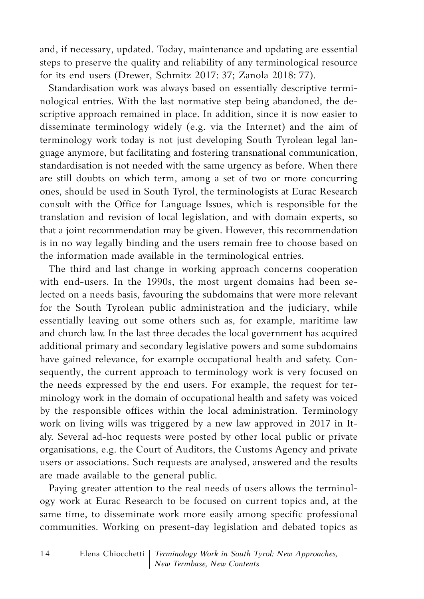and, if necessary, updated. Today, maintenance and updating are essential steps to preserve the quality and reliability of any terminological resource for its end users (Drewer, Schmitz 2017: 37; Zanola 2018: 77).

Standardisation work was always based on essentially descriptive terminological entries. With the last normative step being abandoned, the descriptive approach remained in place. In addition, since it is now easier to disseminate terminology widely (e.g. via the Internet) and the aim of terminology work today is not just developing South Tyrolean legal language anymore, but facilitating and fostering transnational communication, standardisation is not needed with the same urgency as before. When there are still doubts on which term, among a set of two or more concurring ones, should be used in South Tyrol, the terminologists at Eurac Research consult with the Office for Language Issues, which is responsible for the translation and revision of local legislation, and with domain experts, so that a joint recommendation may be given. However, this recommendation is in no way legally binding and the users remain free to choose based on the information made available in the terminological entries.

The third and last change in working approach concerns cooperation with end-users. In the 1990s, the most urgent domains had been selected on a needs basis, favouring the subdomains that were more relevant for the South Tyrolean public administration and the judiciary, while essentially leaving out some others such as, for example, maritime law and church law. In the last three decades the local government has acquired additional primary and secondary legislative powers and some subdomains have gained relevance, for example occupational health and safety. Consequently, the current approach to terminology work is very focused on the needs expressed by the end users. For example, the request for terminology work in the domain of occupational health and safety was voiced by the responsible offices within the local administration. Terminology work on living wills was triggered by a new law approved in 2017 in Italy. Several ad-hoc requests were posted by other local public or private organisations, e.g. the Court of Auditors, the Customs Agency and private users or associations. Such requests are analysed, answered and the results are made available to the general public.

Paying greater attention to the real needs of users allows the terminology work at Eurac Research to be focused on current topics and, at the same time, to disseminate work more easily among specific professional communities. Working on present-day legislation and debated topics as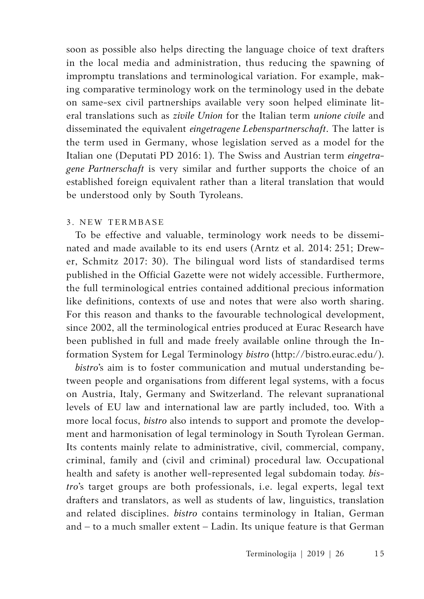soon as possible also helps directing the language choice of text drafters in the local media and administration, thus reducing the spawning of impromptu translations and terminological variation. For example, making comparative terminology work on the terminology used in the debate on same-sex civil partnerships available very soon helped eliminate literal translations such as *zivile Union* for the Italian term *unione civile* and disseminated the equivalent *eingetragene Lebenspartnerschaft*. The latter is the term used in Germany, whose legislation served as a model for the Italian one (Deputati PD 2016: 1). The Swiss and Austrian term *eingetragene Partnerschaft* is very similar and further supports the choice of an established foreign equivalent rather than a literal translation that would be understood only by South Tyroleans.

### 3 . NEW TERMBASE

To be effective and valuable, terminology work needs to be disseminated and made available to its end users (Arntz et al. 2014: 251; Drewer, Schmitz 2017: 30). The bilingual word lists of standardised terms published in the Official Gazette were not widely accessible. Furthermore, the full terminological entries contained additional precious information like definitions, contexts of use and notes that were also worth sharing. For this reason and thanks to the favourable technological development, since 2002, all the terminological entries produced at Eurac Research have been published in full and made freely available online through the Information System for Legal Terminology *bistro* (http://bistro.eurac.edu/).

*bistro*'s aim is to foster communication and mutual understanding between people and organisations from different legal systems, with a focus on Austria, Italy, Germany and Switzerland. The relevant supranational levels of EU law and international law are partly included, too. With a more local focus, *bistro* also intends to support and promote the development and harmonisation of legal terminology in South Tyrolean German. Its contents mainly relate to administrative, civil, commercial, company, criminal, family and (civil and criminal) procedural law. Occupational health and safety is another well-represented legal subdomain today. *bistro*'s target groups are both professionals, i.e. legal experts, legal text drafters and translators, as well as students of law, linguistics, translation and related disciplines. *bistro* contains terminology in Italian, German and – to a much smaller extent – Ladin. Its unique feature is that German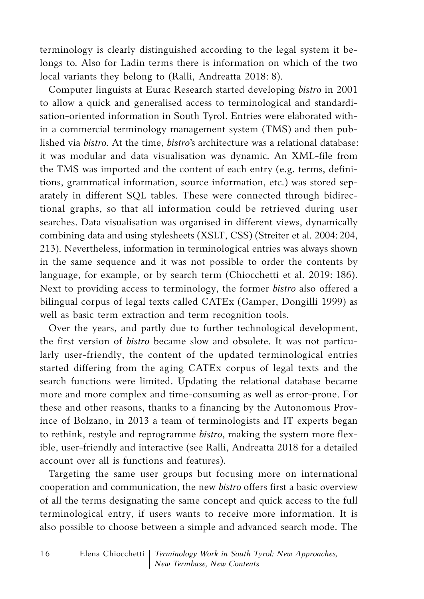terminology is clearly distinguished according to the legal system it belongs to. Also for Ladin terms there is information on which of the two local variants they belong to (Ralli, Andreatta 2018: 8).

Computer linguists at Eurac Research started developing *bistro* in 2001 to allow a quick and generalised access to terminological and standardisation-oriented information in South Tyrol. Entries were elaborated within a commercial terminology management system (TMS) and then published via *bistro.* At the time, *bistro*'s architecture was a relational database: it was modular and data visualisation was dynamic. An XML-file from the TMS was imported and the content of each entry (e.g. terms, definitions, grammatical information, source information, etc.) was stored separately in different SQL tables. These were connected through bidirectional graphs, so that all information could be retrieved during user searches. Data visualisation was organised in different views, dynamically combining data and using stylesheets (XSLT, CSS) (Streiter et al. 2004: 204, 213). Nevertheless, information in terminological entries was always shown in the same sequence and it was not possible to order the contents by language, for example, or by search term (Chiocchetti et al. 2019: 186). Next to providing access to terminology, the former *bistro* also offered a bilingual corpus of legal texts called CATEx (Gamper, Dongilli 1999) as well as basic term extraction and term recognition tools.

Over the years, and partly due to further technological development, the first version of *bistro* became slow and obsolete. It was not particularly user-friendly, the content of the updated terminological entries started differing from the aging CATEx corpus of legal texts and the search functions were limited. Updating the relational database became more and more complex and time-consuming as well as error-prone. For these and other reasons, thanks to a financing by the Autonomous Province of Bolzano, in 2013 a team of terminologists and IT experts began to rethink, restyle and reprogramme *bistro*, making the system more flexible, user-friendly and interactive (see Ralli, Andreatta 2018 for a detailed account over all is functions and features).

Targeting the same user groups but focusing more on international cooperation and communication, the new *bistro* offers first a basic overview of all the terms designating the same concept and quick access to the full terminological entry, if users wants to receive more information. It is also possible to choose between a simple and advanced search mode. The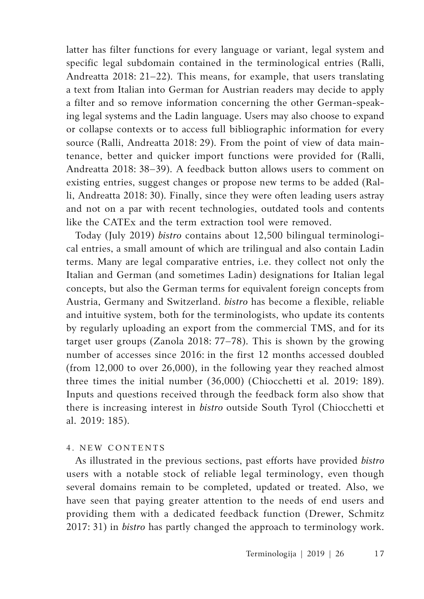latter has filter functions for every language or variant, legal system and specific legal subdomain contained in the terminological entries (Ralli, Andreatta 2018: 21–22). This means, for example, that users translating a text from Italian into German for Austrian readers may decide to apply a filter and so remove information concerning the other German-speaking legal systems and the Ladin language. Users may also choose to expand or collapse contexts or to access full bibliographic information for every source (Ralli, Andreatta 2018: 29). From the point of view of data maintenance, better and quicker import functions were provided for (Ralli, Andreatta 2018: 38–39). A feedback button allows users to comment on existing entries, suggest changes or propose new terms to be added (Ralli, Andreatta 2018: 30). Finally, since they were often leading users astray and not on a par with recent technologies, outdated tools and contents like the CATEx and the term extraction tool were removed.

Today (July 2019) *bistro* contains about 12,500 bilingual terminological entries, a small amount of which are trilingual and also contain Ladin terms. Many are legal comparative entries, i.e. they collect not only the Italian and German (and sometimes Ladin) designations for Italian legal concepts, but also the German terms for equivalent foreign concepts from Austria, Germany and Switzerland. *bistro* has become a flexible, reliable and intuitive system, both for the terminologists, who update its contents by regularly uploading an export from the commercial TMS, and for its target user groups (Zanola 2018: 77–78). This is shown by the growing number of accesses since 2016: in the first 12 months accessed doubled (from 12,000 to over 26,000), in the following year they reached almost three times the initial number (36,000) (Chiocchetti et al*.* 2019: 189). Inputs and questions received through the feedback form also show that there is increasing interest in *bistro* outside South Tyrol (Chiocchetti et al. 2019: 185).

## 4. NEW CONTENTS

As illustrated in the previous sections, past efforts have provided *bistro* users with a notable stock of reliable legal terminology, even though several domains remain to be completed, updated or treated. Also, we have seen that paying greater attention to the needs of end users and providing them with a dedicated feedback function (Drewer, Schmitz 2017: 31) in *bistro* has partly changed the approach to terminology work.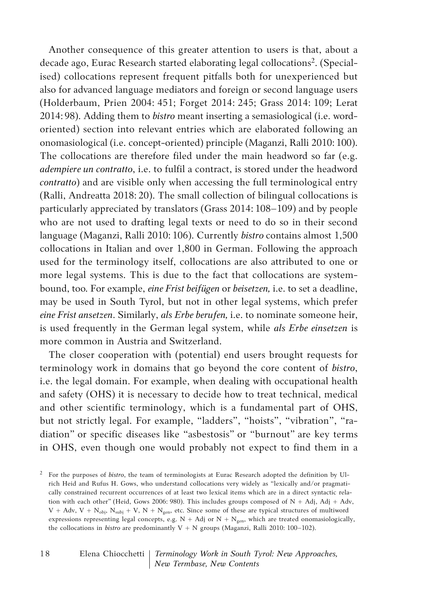Another consequence of this greater attention to users is that, about a decade ago, Eurac Research started elaborating legal collocations<sup>2</sup>. (Specialised) collocations represent frequent pitfalls both for unexperienced but also for advanced language mediators and foreign or second language users (Holderbaum, Prien 2004: 451; Forget 2014: 245; Grass 2014: 109; Lerat 2014: 98). Adding them to *bistro* meant inserting a semasiological (i.e. wordoriented) section into relevant entries which are elaborated following an onomasiological (i.e. concept-oriented) principle (Maganzi, Ralli 2010:100). The collocations are therefore filed under the main headword so far (e.g. *adempiere un contratto*, i.e. to fulfil a contract, is stored under the headword *contratto*) and are visible only when accessing the full terminological entry (Ralli, Andreatta 2018: 20). The small collection of bilingual collocations is particularly appreciated by translators (Grass 2014: 108–109) and by people who are not used to drafting legal texts or need to do so in their second language (Maganzi, Ralli 2010: 106). Currently *bistro* contains almost 1,500 collocations in Italian and over 1,800 in German. Following the approach used for the terminology itself, collocations are also attributed to one or more legal systems. This is due to the fact that collocations are systembound, too. For example, *eine Frist beifügen* or *beisetzen,* i.e. to set a deadline, may be used in South Tyrol, but not in other legal systems, which prefer *eine Frist ansetzen*. Similarly, *als Erbe berufen,* i.e. to nominate someone heir, is used frequently in the German legal system, while *als Erbe einsetzen* is more common in Austria and Switzerland.

The closer cooperation with (potential) end users brought requests for terminology work in domains that go beyond the core content of *bistro*, i.e. the legal domain. For example, when dealing with occupational health and safety (OHS) it is necessary to decide how to treat technical, medical and other scientific terminology, which is a fundamental part of OHS, but not strictly legal. For example, "ladders", "hoists", "vibration", "radiation" or specific diseases like "asbestosis" or "burnout" are key terms in OHS, even though one would probably not expect to find them in a

<sup>2</sup> For the purposes of *bistro*, the team of terminologists at Eurac Research adopted the definition by Ulrich Heid and Rufus H. Gows, who understand collocations very widely as "lexically and/or pragmatically constrained recurrent occurrences of at least two lexical items which are in a direct syntactic relation with each other" (Heid, Gows 2006: 980). This includes groups composed of  $N + Adj$ , Adj + Adv,  $V + Adv, V + N_{obj}, N_{subj} + V, N + N_{gen}$ , etc. Since some of these are typical structures of multiword expressions representing legal concepts, e.g.  $N + Adj$  or  $N + N_{gen}$ , which are treated onomasiologically, the collocations in *bistro* are predominantly V + N groups (Maganzi, Ralli 2010: 100-102).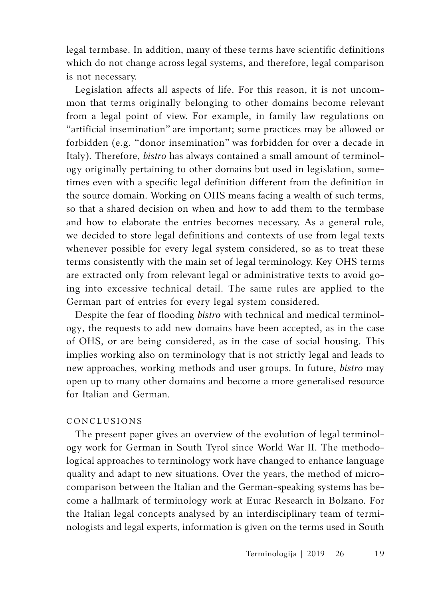legal termbase. In addition, many of these terms have scientific definitions which do not change across legal systems, and therefore, legal comparison is not necessary.

Legislation affects all aspects of life. For this reason, it is not uncommon that terms originally belonging to other domains become relevant from a legal point of view. For example, in family law regulations on "artificial insemination" are important; some practices may be allowed or forbidden (e.g. "donor insemination" was forbidden for over a decade in Italy). Therefore, *bistro* has always contained a small amount of terminology originally pertaining to other domains but used in legislation, sometimes even with a specific legal definition different from the definition in the source domain. Working on OHS means facing a wealth of such terms, so that a shared decision on when and how to add them to the termbase and how to elaborate the entries becomes necessary. As a general rule, we decided to store legal definitions and contexts of use from legal texts whenever possible for every legal system considered, so as to treat these terms consistently with the main set of legal terminology. Key OHS terms are extracted only from relevant legal or administrative texts to avoid going into excessive technical detail. The same rules are applied to the German part of entries for every legal system considered.

Despite the fear of flooding *bistro* with technical and medical terminology, the requests to add new domains have been accepted, as in the case of OHS, or are being considered, as in the case of social housing. This implies working also on terminology that is not strictly legal and leads to new approaches, working methods and user groups. In future, *bistro* may open up to many other domains and become a more generalised resource for Italian and German.

# **CONCLUSIONS**

The present paper gives an overview of the evolution of legal terminology work for German in South Tyrol since World War II. The methodological approaches to terminology work have changed to enhance language quality and adapt to new situations. Over the years, the method of microcomparison between the Italian and the German-speaking systems has become a hallmark of terminology work at Eurac Research in Bolzano. For the Italian legal concepts analysed by an interdisciplinary team of terminologists and legal experts, information is given on the terms used in South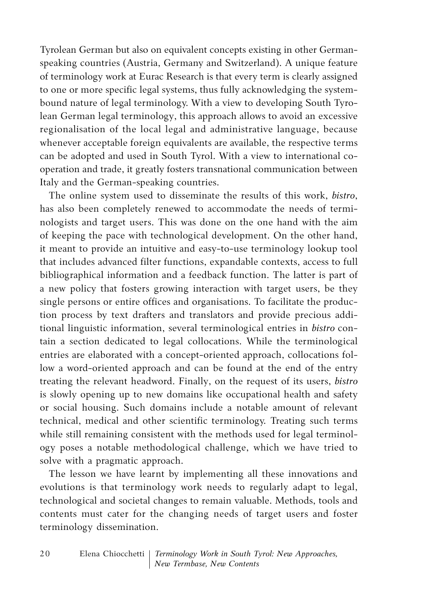Tyrolean German but also on equivalent concepts existing in other Germanspeaking countries (Austria, Germany and Switzerland). A unique feature of terminology work at Eurac Research is that every term is clearly assigned to one or more specific legal systems, thus fully acknowledging the systembound nature of legal terminology. With a view to developing South Tyrolean German legal terminology, this approach allows to avoid an excessive regionalisation of the local legal and administrative language, because whenever acceptable foreign equivalents are available, the respective terms can be adopted and used in South Tyrol. With a view to international cooperation and trade, it greatly fosters transnational communication between Italy and the German-speaking countries.

The online system used to disseminate the results of this work, *bistro*, has also been completely renewed to accommodate the needs of terminologists and target users. This was done on the one hand with the aim of keeping the pace with technological development. On the other hand, it meant to provide an intuitive and easy-to-use terminology lookup tool that includes advanced filter functions, expandable contexts, access to full bibliographical information and a feedback function. The latter is part of a new policy that fosters growing interaction with target users, be they single persons or entire offices and organisations. To facilitate the production process by text drafters and translators and provide precious additional linguistic information, several terminological entries in *bistro* contain a section dedicated to legal collocations. While the terminological entries are elaborated with a concept-oriented approach, collocations follow a word-oriented approach and can be found at the end of the entry treating the relevant headword. Finally, on the request of its users, *bistro* is slowly opening up to new domains like occupational health and safety or social housing. Such domains include a notable amount of relevant technical, medical and other scientific terminology. Treating such terms while still remaining consistent with the methods used for legal terminology poses a notable methodological challenge, which we have tried to solve with a pragmatic approach.

The lesson we have learnt by implementing all these innovations and evolutions is that terminology work needs to regularly adapt to legal, technological and societal changes to remain valuable. Methods, tools and contents must cater for the changing needs of target users and foster terminology dissemination.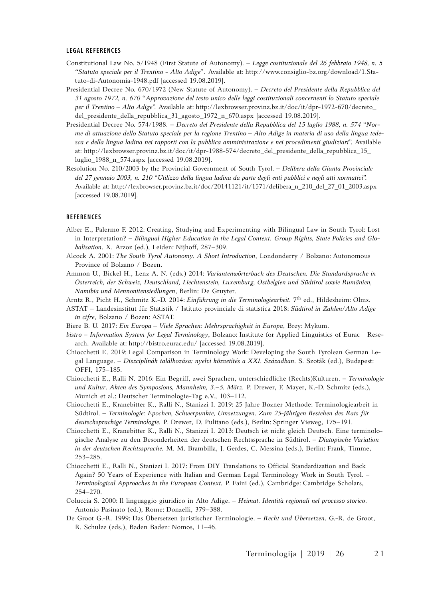#### **LEGAL REFERENCES**

- Constitutional Law No. 5/1948 (First Statute of Autonomy). *Legge costituzionale del 26 febbraio 1948, n. 5 "Statuto speciale per il Trentino - Alto Adige"*. Available at: http://www.consiglio-bz.org/download/1.Statuto-di-Autonomia-1948.pdf [accessed 19.08.2019].
- Presidential Decree No. 670/1972 (New Statute of Autonomy). *Decreto del Presidente della Repubblica del 31 agosto 1972, n. 670* "*Approvazione del testo unico delle leggi costituzionali concernenti lo Statuto speciale per il Trentino – Alto Adige*". Available at: http://lexbrowser.provinz.bz.it/doc/it/dpr-1972-670/decreto\_ del\_presidente\_della\_repubblica\_31\_agosto\_1972\_n\_670.aspx [accessed 19.08.2019].
- Presidential Decree No. 574/1988. *Decreto del Presidente della Repubblica del 15 luglio 1988, n. 574* "*Norme di attuazione dello Statuto speciale per la regione Trentino – Alto Adige in materia di uso della lingua tedesca e della lingua ladina nei rapporti con la pubblica amministrazione e nei procedimenti giudiziari*". Available at: http://lexbrowser.provinz.bz.it/doc/it/dpr-1988-574/decreto\_del\_presidente\_della\_repubblica\_15\_ luglio\_1988\_n\_574.aspx [accessed 19.08.2019].
- Resolution No. 210/2003 by the Provincial Government of South Tyrol. *Delibera della Giunta Provinciale del 27 gennaio 2003, n. 210* "*Utilizzo della lingua ladina da parte degli enti pubblici e negli atti normativi*". Available at: http://lexbrowser.provinz.bz.it/doc/20141121/it/1571/delibera\_n\_210\_del\_27\_01\_2003.aspx [accessed 19.08.2019].

#### **REFERENCES**

- Alber E., Palermo F. 2012: Creating, Studying and Experimenting with Bilingual Law in South Tyrol: Lost in Interpretation? – *Bilingual Higher Education in the Legal Context*. *Group Rights, State Policies and Globalisation*. X. Arzoz (ed.), Leiden: Nijhoff, 287–309.
- Alcock A. 2001: *The South Tyrol Autonomy. A Short Introduction*, Londonderry / Bolzano: Autonomous Province of Bolzano / Bozen.
- Ammon U., Bickel H., Lenz A. N. (eds.) 2014: *Variantenwörterbuch des Deutschen. Die Standardsprache in Österreich, der Schweiz, Deutschland, Liechtenstein, Luxemburg, Ostbelgien und Südtirol sowie Rumänien, Namibia und Mennonitensiedlungen*, Berlin: De Gruyter.
- Arntz R., Picht H., Schmitz K.-D. 2014: *Einführung in die Terminologiearbeit.* 7th ed., Hildesheim: Olms.
- ASTAT Landesinstitut für Statistik / Istituto provinciale di statistica 2018: *Südtirol in Zahlen/Alto Adige in cifre*, Bolzano / Bozen: ASTAT.
- Biere B. U. 2017: *Ein Europa Viele Sprachen: Mehrsprachigkeit in Europa*, Brey: Mykum.
- *bistro Information System for Legal Terminology*, Bolzano: Institute for Applied Linguistics of Eurac Research. Available at: http://bistro.eurac.edu/ [accessed 19.08.2019].
- Chiocchetti E. 2019: Legal Comparison in Terminology Work: Developing the South Tyrolean German Legal Language. – *Diszciplínák találkozása: nyelvi közvetítés a XXI. Században*. S. Szoták (ed.), Budapest: OFFI, 175–185.
- Chiocchetti E., Ralli N. 2016: Ein Begriff, zwei Sprachen, unterschiedliche (Rechts)Kulturen. *Terminologie und Kultur. Akten des Symposions, Mannheim, 3.–5. März.* P. Drewer, F. Mayer, K.-D. Schmitz (eds.), Munich et al*.*: Deutscher Terminologie-Tag e.V., 103–112.
- Chiocchetti E., Kranebitter K., Ralli N., Stanizzi I. 2019: 25 Jahre Bozner Methode: Terminologiearbeit in Südtirol. – *Terminologie: Epochen, Schwerpunkte, Umsetzungen. Zum 25-jährigen Bestehen des Rats für deutschsprachige Terminologie.* P. Drewer, D. Pulitano (eds.), Berlin: Springer Vieweg, 175–191.
- Chiocchetti E., Kranebitter K., Ralli N., Stanizzi I. 2013: Deutsch ist nicht gleich Deutsch. Eine terminologische Analyse zu den Besonderheiten der deutschen Rechtssprache in Südtirol. – *Diatopische Variation in der deutschen Rechtssprache.* M. M. Brambilla, J. Gerdes, C. Messina (eds.), Berlin: Frank, Timme, 253–285.
- Chiocchetti E., Ralli N., Stanizzi I. 2017: From DIY Translations to Official Standardization and Back Again? 50 Years of Experience with Italian and German Legal Terminology Work in South Tyrol. – *Terminological Approaches in the European Context.* P. Faini (ed.), Cambridge: Cambridge Scholars, 254–270.
- Coluccia S. 2000: Il linguaggio giuridico in Alto Adige. *Heimat. Identità regionali nel processo storico*. Antonio Pasinato (ed.), Rome: Donzelli, 379–388.
- De Groot G.-R. 1999: Das Übersetzen juristischer Terminologie. *Recht und Übersetzen*. G.-R. de Groot, R. Schulze (eds.), Baden Baden: Nomos, 11–46.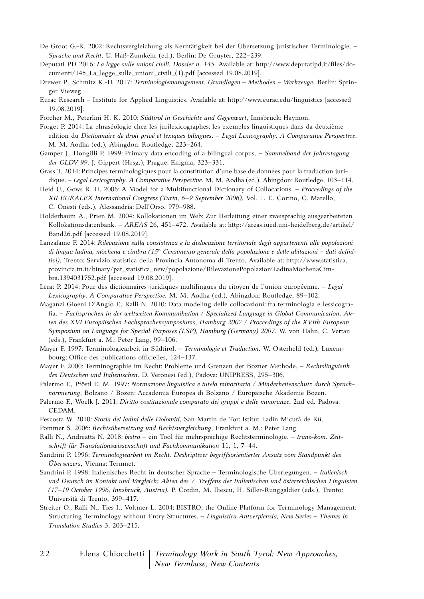- De Groot G.-R. 2002: Rechtsvergleichung als Kerntätigkeit bei der Übersetzung juristischer Terminologie. *Sprache und Recht*. U. Haß-Zumkehr (ed.), Berlin: De Gruyter, 222–239.
- Deputati PD 2016: *La legge sulle unioni civili. Dossier n. 145*. Available at: http://www.deputatipd.it/files/documenti/145\_La\_legge\_sulle\_unioni\_civili\_(1).pdf [accessed 19.08.2019].
- Drewer P., Schmitz K.-D. 2017: *Terminologiemanagement. Grundlagen Methoden Werkzeuge*, Berlin: Springer Vieweg.
- Eurac Research Institute for Applied Linguistics. Available at: http://www.eurac.edu/linguistics [accessed 19.08.2019].
- Forcher M., Peterlini H. K. 2010: *Südtirol in Geschichte und Gegenwart*, Innsbruck: Haymon.
- Forget P. 2014: La phraséologie chez les jurilexicographes: les exemples linguistiques dans da deuxième edition du *Dictionnaire de droit privé et lexiques bilingues*. – *Legal Lexicography. A Comparative Perspective*. M. M. Aodha (ed.), Abingdon: Routledge, 223–264.
- Gamper J., Dongilli P. 1999: Primary data encoding of a bilingual corpus. *Sammelband der Jahrestagung der GLDV 99*. J. Gippert (Hrsg.), Prague: Enigma, 323–331.
- Grass T. 2014: Principes terminologiques pour la constitution d'une base de données pour la traduction juridique. – *Legal Lexicography. A Comparative Perspective*. M. M. Aodha (ed.), Abingdon: Routledge, 103–114.
- Heid U., Gows R. H. 2006: A Model for a Multifunctional Dictionary of Collocations. *Proceedings of the XII EURALEX International Congress (Turin, 6–9 September 2006)*, Vol. 1. E. Corino, C. Marello, C. Onesti (eds.), Alessandria: Dell'Orso, 979–988.
- Holderbaum A., Prien M. 2004: Kollokationen im Web: Zur Herleitung einer zweisprachig ausgearbeiteten Kollokationsdatenbank. – *AREAS* 26, 451–472. Available at: http://areas.iued.uni-heidelberg.de/artikel/ Band26.pdf [accessed 19.08.2019].
- Lanzafame F. 2014: *Rilevazione sulla consistenza e la dislocazione territoriale degli appartenenti alle popolazioni di lingua ladina, mòchena e cimbra (15° Censimento generale della popolazione e delle abitazioni – dati definitivi)*, Trento: Servizio statistica della Provincia Autonoma di Trento. Available at: http://www.statistica. provincia.tn.it/binary/pat\_statistica\_new/popolazione/RilevazionePopolazioniLadinaMochenaCimbra.1394031752.pdf [accessed 19.08.2019].
- Lerat P. 2014: Pour des dictionnaires juridiques multilingues du citoyen de l'union européenne. *Legal Lexicography. A Comparative Perspective*. M. M. Aodha (ed.), Abingdon: Routledge, 89–102.
- Maganzi Gioeni D'Angiò F., Ralli N. 2010: Data modeling delle collocazioni: fra terminologia e lessicografia. – *Fachsprachen in der weltweiten Kommunikation / Specialized Language in Global Communication*. *Akten des XVI Europäischen Fachsprachensymposiums, Hamburg 2007 / Proceedings of the XVIth European Symposium on Language for Special Purposes (LSP), Hamburg (Germany) 2007*. W. von Hahn, C. Vertan (eds.), Frankfurt a. M.: Peter Lang, 99–106.
- Mayer F. 1997: Terminologiearbeit in Südtirol. *Terminologie et Traduction*. W. Osterheld (ed.), Luxembourg: Office des publications officielles, 124–137.
- Mayer F. 2000: Terminographie im Recht: Probleme und Grenzen der Bozner Methode. *Rechtslinguistik des Deutschen und Italienischen*. D. Veronesi (ed.), Padova: UNIPRESS, 295–306.
- Palermo F., Pföstl E. M. 1997: *Normazione linguistica e tutela minoritaria / Minderheitenschutz durch Sprachnormierung*, Bolzano / Bozen: Accademia Europea di Bolzano / Europäische Akademie Bozen.
- Palermo F., Woelk J. 2011: *Diritto costituzionale comparato dei gruppi e delle minoranze*, 2nd ed. Padova: CEDAM.
- Pescosta W. 2010: *Storia dei ladini delle Dolomiti*, San Martin de Tor: Istitut Ladin Micurà de Rü.
- Pommer S. 2006: *Rechtsübersetzung und Rechtsvergleichung*, Frankfurt a. M.: Peter Lang.
- Ralli N., Andreatta N. 2018: *bistro* ein Tool für mehrsprachige Rechtsterminologie. *trans-kom. Zeitschrift für Translationswissenschaft und Fachkommunikation* 11, 1, 7–44.
- Sandrini P. 1996: *Terminologiearbeit im Recht. Deskriptiver begriffsorientierter Ansatz vom Standpunkt des Übersetzers*, Vienna: Termnet.
- Sandrini P. 1998: Italienisches Recht in deutscher Sprache Terminologische Überlegungen. *Italienisch und Deutsch im Kontakt und Vergleich: Akten des 7. Treffens der Italienischen und österreichischen Linguisten (17–19 October 1996, Innsbruck, Austria).* P. Cordin, M. Iliescu, H. Siller-Runggaldier (eds.), Trento: Università di Trento, 399–417.
- Streiter O., Ralli N., Ties I., Voltmer L. 2004: BISTRO, the Online Platform for Terminology Management: Structuring Terminology without Entry Structures. – *Linguistica Antverpiensia, New Series – Themes in Translation Studies* 3, 203–215.
- Elena Chiocchetti *Terminology Work in South Tyrol: New Approaches, New Termbase, New Contents* 2 2